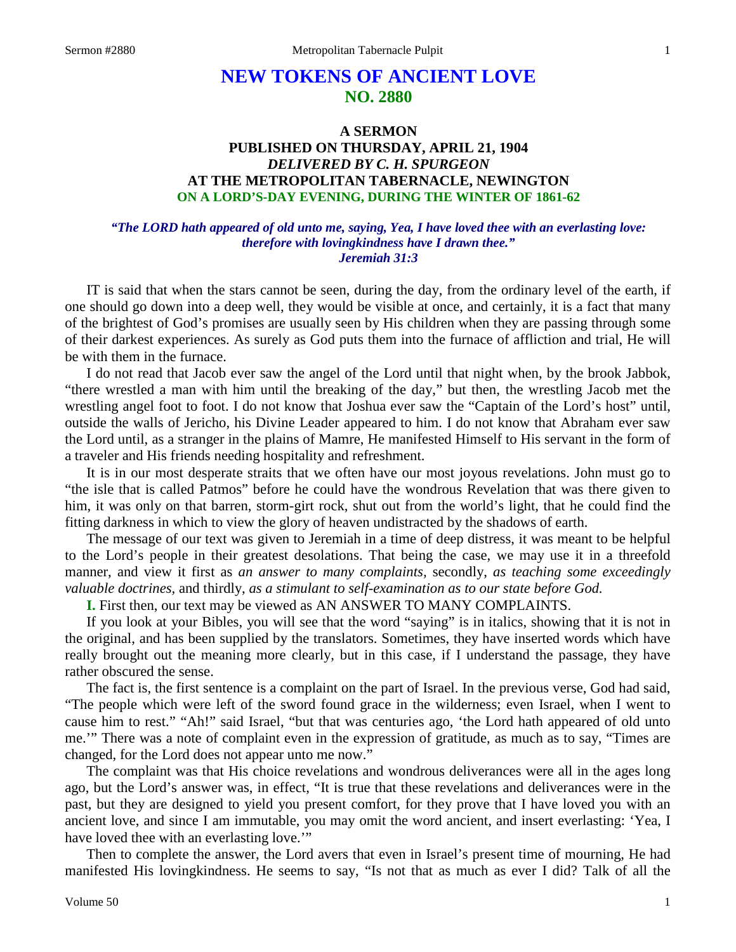# **NEW TOKENS OF ANCIENT LOVE NO. 2880**

## **A SERMON PUBLISHED ON THURSDAY, APRIL 21, 1904** *DELIVERED BY C. H. SPURGEON* **AT THE METROPOLITAN TABERNACLE, NEWINGTON ON A LORD'S-DAY EVENING, DURING THE WINTER OF 1861-62**

### *"The LORD hath appeared of old unto me, saying, Yea, I have loved thee with an everlasting love: therefore with lovingkindness have I drawn thee." Jeremiah 31:3*

IT is said that when the stars cannot be seen, during the day, from the ordinary level of the earth, if one should go down into a deep well, they would be visible at once, and certainly, it is a fact that many of the brightest of God's promises are usually seen by His children when they are passing through some of their darkest experiences. As surely as God puts them into the furnace of affliction and trial, He will be with them in the furnace.

I do not read that Jacob ever saw the angel of the Lord until that night when, by the brook Jabbok, "there wrestled a man with him until the breaking of the day," but then, the wrestling Jacob met the wrestling angel foot to foot. I do not know that Joshua ever saw the "Captain of the Lord's host" until, outside the walls of Jericho, his Divine Leader appeared to him. I do not know that Abraham ever saw the Lord until, as a stranger in the plains of Mamre, He manifested Himself to His servant in the form of a traveler and His friends needing hospitality and refreshment.

It is in our most desperate straits that we often have our most joyous revelations. John must go to "the isle that is called Patmos" before he could have the wondrous Revelation that was there given to him, it was only on that barren, storm-girt rock, shut out from the world's light, that he could find the fitting darkness in which to view the glory of heaven undistracted by the shadows of earth.

The message of our text was given to Jeremiah in a time of deep distress, it was meant to be helpful to the Lord's people in their greatest desolations. That being the case, we may use it in a threefold manner, and view it first as *an answer to many complaints,* secondly, *as teaching some exceedingly valuable doctrines,* and thirdly, *as a stimulant to self-examination as to our state before God.* 

**I.** First then, our text may be viewed as AN ANSWER TO MANY COMPLAINTS.

If you look at your Bibles, you will see that the word "saying" is in italics, showing that it is not in the original, and has been supplied by the translators. Sometimes, they have inserted words which have really brought out the meaning more clearly, but in this case, if I understand the passage, they have rather obscured the sense.

The fact is, the first sentence is a complaint on the part of Israel. In the previous verse, God had said, "The people which were left of the sword found grace in the wilderness; even Israel, when I went to cause him to rest." "Ah!" said Israel, "but that was centuries ago, 'the Lord hath appeared of old unto me.'" There was a note of complaint even in the expression of gratitude, as much as to say, "Times are changed, for the Lord does not appear unto me now."

The complaint was that His choice revelations and wondrous deliverances were all in the ages long ago, but the Lord's answer was, in effect, "It is true that these revelations and deliverances were in the past, but they are designed to yield you present comfort, for they prove that I have loved you with an ancient love, and since I am immutable, you may omit the word ancient, and insert everlasting: 'Yea, I have loved thee with an everlasting love."

Then to complete the answer, the Lord avers that even in Israel's present time of mourning, He had manifested His lovingkindness. He seems to say, "Is not that as much as ever I did? Talk of all the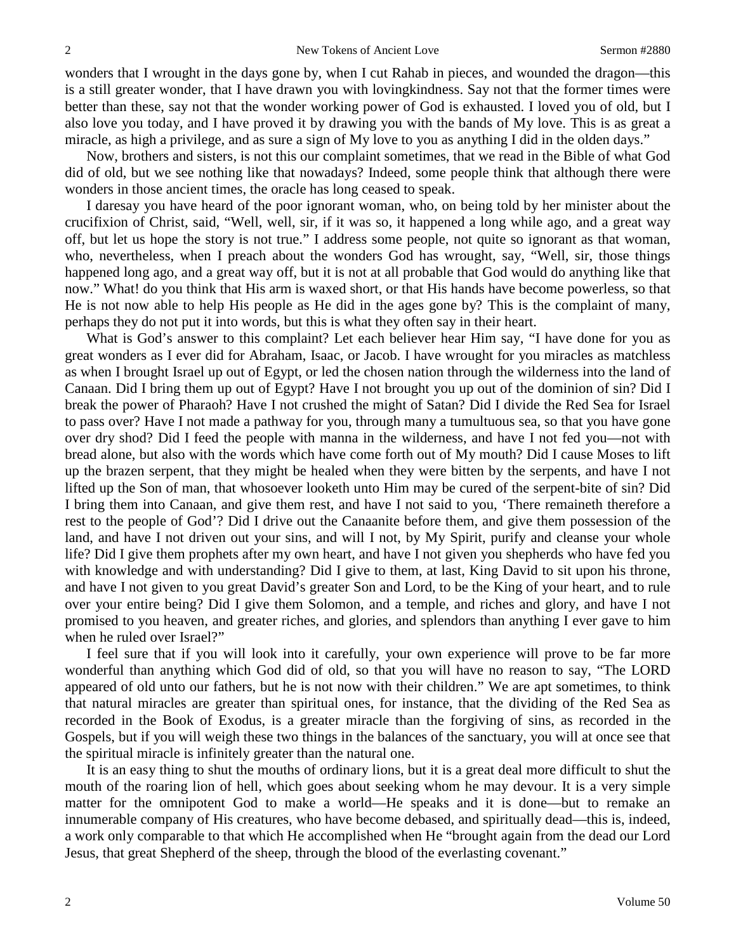wonders that I wrought in the days gone by, when I cut Rahab in pieces, and wounded the dragon—this is a still greater wonder, that I have drawn you with lovingkindness. Say not that the former times were better than these, say not that the wonder working power of God is exhausted. I loved you of old, but I also love you today, and I have proved it by drawing you with the bands of My love. This is as great a miracle, as high a privilege, and as sure a sign of My love to you as anything I did in the olden days."

Now, brothers and sisters, is not this our complaint sometimes, that we read in the Bible of what God did of old, but we see nothing like that nowadays? Indeed, some people think that although there were wonders in those ancient times, the oracle has long ceased to speak.

I daresay you have heard of the poor ignorant woman, who, on being told by her minister about the crucifixion of Christ, said, "Well, well, sir, if it was so, it happened a long while ago, and a great way off, but let us hope the story is not true." I address some people, not quite so ignorant as that woman, who, nevertheless, when I preach about the wonders God has wrought, say, "Well, sir, those things happened long ago, and a great way off, but it is not at all probable that God would do anything like that now." What! do you think that His arm is waxed short, or that His hands have become powerless, so that He is not now able to help His people as He did in the ages gone by? This is the complaint of many, perhaps they do not put it into words, but this is what they often say in their heart.

What is God's answer to this complaint? Let each believer hear Him say, "I have done for you as great wonders as I ever did for Abraham, Isaac, or Jacob. I have wrought for you miracles as matchless as when I brought Israel up out of Egypt, or led the chosen nation through the wilderness into the land of Canaan. Did I bring them up out of Egypt? Have I not brought you up out of the dominion of sin? Did I break the power of Pharaoh? Have I not crushed the might of Satan? Did I divide the Red Sea for Israel to pass over? Have I not made a pathway for you, through many a tumultuous sea, so that you have gone over dry shod? Did I feed the people with manna in the wilderness, and have I not fed you—not with bread alone, but also with the words which have come forth out of My mouth? Did I cause Moses to lift up the brazen serpent, that they might be healed when they were bitten by the serpents, and have I not lifted up the Son of man, that whosoever looketh unto Him may be cured of the serpent-bite of sin? Did I bring them into Canaan, and give them rest, and have I not said to you, 'There remaineth therefore a rest to the people of God'? Did I drive out the Canaanite before them, and give them possession of the land, and have I not driven out your sins, and will I not, by My Spirit, purify and cleanse your whole life? Did I give them prophets after my own heart, and have I not given you shepherds who have fed you with knowledge and with understanding? Did I give to them, at last, King David to sit upon his throne, and have I not given to you great David's greater Son and Lord, to be the King of your heart, and to rule over your entire being? Did I give them Solomon, and a temple, and riches and glory, and have I not promised to you heaven, and greater riches, and glories, and splendors than anything I ever gave to him when he ruled over Israel?"

I feel sure that if you will look into it carefully, your own experience will prove to be far more wonderful than anything which God did of old, so that you will have no reason to say, "The LORD appeared of old unto our fathers, but he is not now with their children." We are apt sometimes, to think that natural miracles are greater than spiritual ones, for instance, that the dividing of the Red Sea as recorded in the Book of Exodus, is a greater miracle than the forgiving of sins, as recorded in the Gospels, but if you will weigh these two things in the balances of the sanctuary, you will at once see that the spiritual miracle is infinitely greater than the natural one.

It is an easy thing to shut the mouths of ordinary lions, but it is a great deal more difficult to shut the mouth of the roaring lion of hell, which goes about seeking whom he may devour. It is a very simple matter for the omnipotent God to make a world—He speaks and it is done—but to remake an innumerable company of His creatures, who have become debased, and spiritually dead—this is, indeed, a work only comparable to that which He accomplished when He "brought again from the dead our Lord Jesus, that great Shepherd of the sheep, through the blood of the everlasting covenant."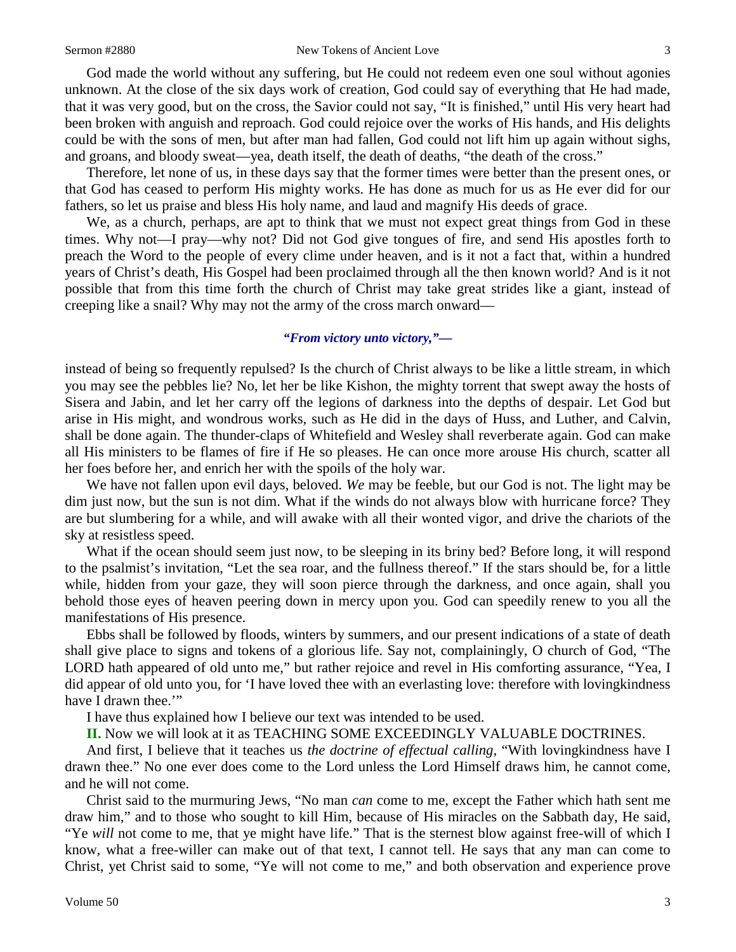God made the world without any suffering, but He could not redeem even one soul without agonies unknown. At the close of the six days work of creation, God could say of everything that He had made, that it was very good, but on the cross, the Savior could not say, "It is finished," until His very heart had been broken with anguish and reproach. God could rejoice over the works of His hands, and His delights could be with the sons of men, but after man had fallen, God could not lift him up again without sighs, and groans, and bloody sweat—yea, death itself, the death of deaths, "the death of the cross."

Therefore, let none of us, in these days say that the former times were better than the present ones, or that God has ceased to perform His mighty works. He has done as much for us as He ever did for our fathers, so let us praise and bless His holy name, and laud and magnify His deeds of grace.

We, as a church, perhaps, are apt to think that we must not expect great things from God in these times. Why not—I pray—why not? Did not God give tongues of fire, and send His apostles forth to preach the Word to the people of every clime under heaven, and is it not a fact that, within a hundred years of Christ's death, His Gospel had been proclaimed through all the then known world? And is it not possible that from this time forth the church of Christ may take great strides like a giant, instead of creeping like a snail? Why may not the army of the cross march onward—

#### *"From victory unto victory,"—*

instead of being so frequently repulsed? Is the church of Christ always to be like a little stream, in which you may see the pebbles lie? No, let her be like Kishon, the mighty torrent that swept away the hosts of Sisera and Jabin, and let her carry off the legions of darkness into the depths of despair. Let God but arise in His might, and wondrous works, such as He did in the days of Huss, and Luther, and Calvin, shall be done again. The thunder-claps of Whitefield and Wesley shall reverberate again. God can make all His ministers to be flames of fire if He so pleases. He can once more arouse His church, scatter all her foes before her, and enrich her with the spoils of the holy war.

We have not fallen upon evil days, beloved. *We* may be feeble, but our God is not. The light may be dim just now, but the sun is not dim. What if the winds do not always blow with hurricane force? They are but slumbering for a while, and will awake with all their wonted vigor, and drive the chariots of the sky at resistless speed.

What if the ocean should seem just now, to be sleeping in its briny bed? Before long, it will respond to the psalmist's invitation, "Let the sea roar, and the fullness thereof." If the stars should be, for a little while, hidden from your gaze, they will soon pierce through the darkness, and once again, shall you behold those eyes of heaven peering down in mercy upon you. God can speedily renew to you all the manifestations of His presence.

Ebbs shall be followed by floods, winters by summers, and our present indications of a state of death shall give place to signs and tokens of a glorious life. Say not, complainingly, O church of God, "The LORD hath appeared of old unto me," but rather rejoice and revel in His comforting assurance, "Yea, I did appear of old unto you, for 'I have loved thee with an everlasting love: therefore with lovingkindness have I drawn thee.""

I have thus explained how I believe our text was intended to be used.

**II.** Now we will look at it as TEACHING SOME EXCEEDINGLY VALUABLE DOCTRINES.

And first, I believe that it teaches us *the doctrine of effectual calling,* "With lovingkindness have I drawn thee." No one ever does come to the Lord unless the Lord Himself draws him, he cannot come, and he will not come.

Christ said to the murmuring Jews, "No man *can* come to me, except the Father which hath sent me draw him," and to those who sought to kill Him, because of His miracles on the Sabbath day, He said, "Ye *will* not come to me, that ye might have life." That is the sternest blow against free-will of which I know, what a free-willer can make out of that text, I cannot tell. He says that any man can come to Christ, yet Christ said to some, "Ye will not come to me," and both observation and experience prove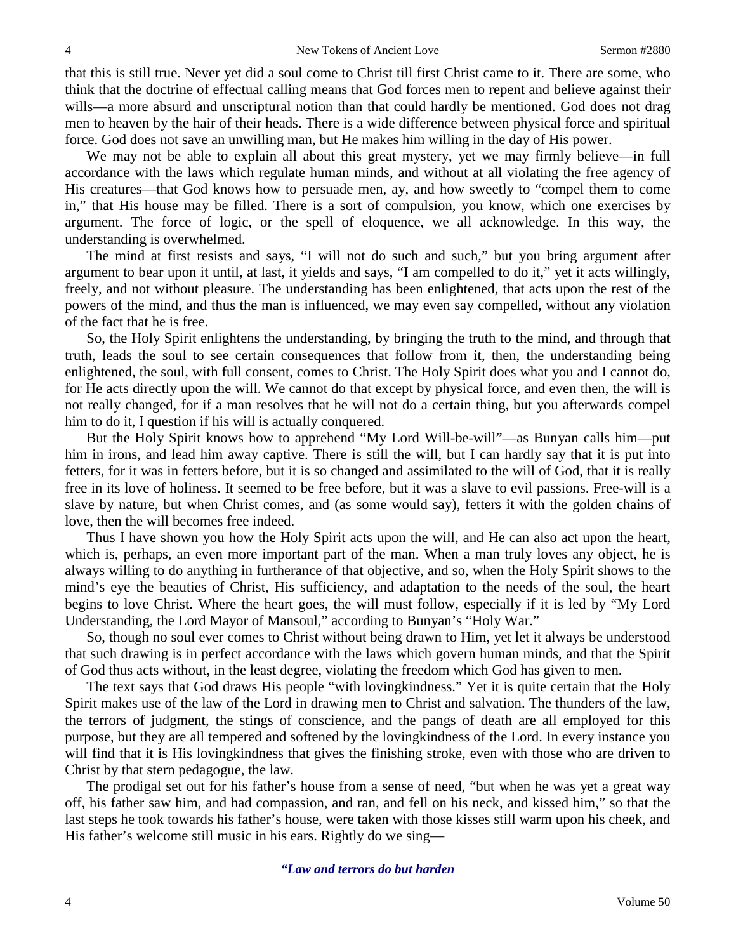that this is still true. Never yet did a soul come to Christ till first Christ came to it. There are some, who think that the doctrine of effectual calling means that God forces men to repent and believe against their wills—a more absurd and unscriptural notion than that could hardly be mentioned. God does not drag men to heaven by the hair of their heads. There is a wide difference between physical force and spiritual force. God does not save an unwilling man, but He makes him willing in the day of His power.

We may not be able to explain all about this great mystery, yet we may firmly believe—in full accordance with the laws which regulate human minds, and without at all violating the free agency of His creatures—that God knows how to persuade men, ay, and how sweetly to "compel them to come in," that His house may be filled. There is a sort of compulsion, you know, which one exercises by argument. The force of logic, or the spell of eloquence, we all acknowledge. In this way, the understanding is overwhelmed.

The mind at first resists and says, "I will not do such and such," but you bring argument after argument to bear upon it until, at last, it yields and says, "I am compelled to do it," yet it acts willingly, freely, and not without pleasure. The understanding has been enlightened, that acts upon the rest of the powers of the mind, and thus the man is influenced, we may even say compelled, without any violation of the fact that he is free.

So, the Holy Spirit enlightens the understanding, by bringing the truth to the mind, and through that truth, leads the soul to see certain consequences that follow from it, then, the understanding being enlightened, the soul, with full consent, comes to Christ. The Holy Spirit does what you and I cannot do, for He acts directly upon the will. We cannot do that except by physical force, and even then, the will is not really changed, for if a man resolves that he will not do a certain thing, but you afterwards compel him to do it, I question if his will is actually conquered.

But the Holy Spirit knows how to apprehend "My Lord Will-be-will"—as Bunyan calls him—put him in irons, and lead him away captive. There is still the will, but I can hardly say that it is put into fetters, for it was in fetters before, but it is so changed and assimilated to the will of God, that it is really free in its love of holiness. It seemed to be free before, but it was a slave to evil passions. Free-will is a slave by nature, but when Christ comes, and (as some would say), fetters it with the golden chains of love, then the will becomes free indeed.

Thus I have shown you how the Holy Spirit acts upon the will, and He can also act upon the heart, which is, perhaps, an even more important part of the man. When a man truly loves any object, he is always willing to do anything in furtherance of that objective, and so, when the Holy Spirit shows to the mind's eye the beauties of Christ, His sufficiency, and adaptation to the needs of the soul, the heart begins to love Christ. Where the heart goes, the will must follow, especially if it is led by "My Lord Understanding, the Lord Mayor of Mansoul," according to Bunyan's "Holy War."

So, though no soul ever comes to Christ without being drawn to Him, yet let it always be understood that such drawing is in perfect accordance with the laws which govern human minds, and that the Spirit of God thus acts without, in the least degree, violating the freedom which God has given to men.

The text says that God draws His people "with lovingkindness." Yet it is quite certain that the Holy Spirit makes use of the law of the Lord in drawing men to Christ and salvation. The thunders of the law, the terrors of judgment, the stings of conscience, and the pangs of death are all employed for this purpose, but they are all tempered and softened by the lovingkindness of the Lord. In every instance you will find that it is His lovingkindness that gives the finishing stroke, even with those who are driven to Christ by that stern pedagogue, the law.

The prodigal set out for his father's house from a sense of need, "but when he was yet a great way off, his father saw him, and had compassion, and ran, and fell on his neck, and kissed him," so that the last steps he took towards his father's house, were taken with those kisses still warm upon his cheek, and His father's welcome still music in his ears. Rightly do we sing—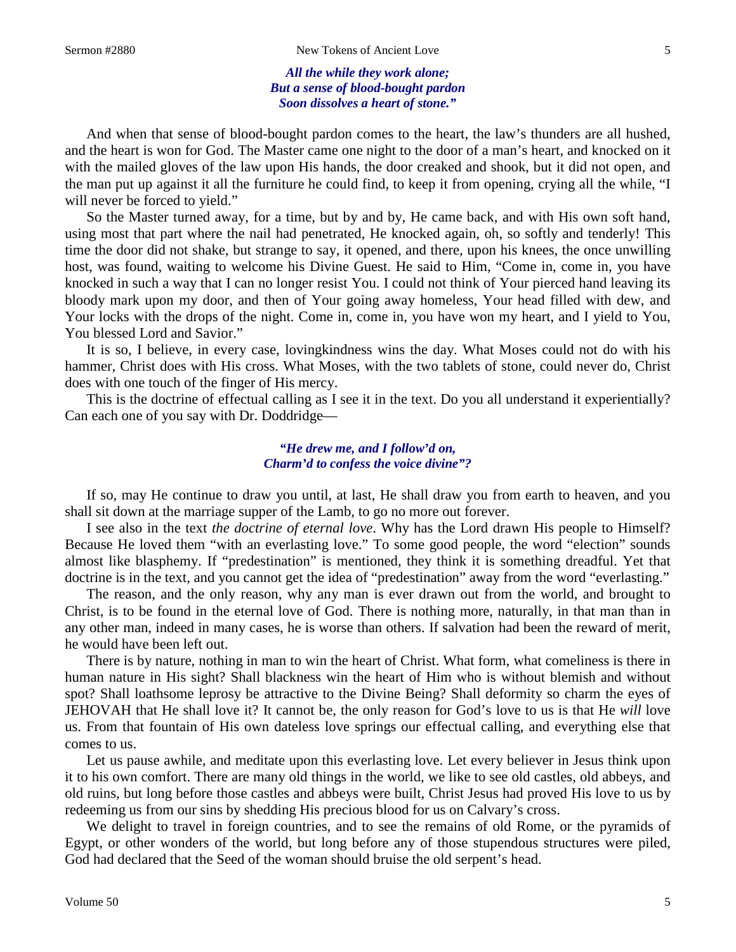*All the while they work alone; But a sense of blood-bought pardon Soon dissolves a heart of stone."*

And when that sense of blood-bought pardon comes to the heart, the law's thunders are all hushed, and the heart is won for God. The Master came one night to the door of a man's heart, and knocked on it with the mailed gloves of the law upon His hands, the door creaked and shook, but it did not open, and the man put up against it all the furniture he could find, to keep it from opening, crying all the while, "I will never be forced to yield."

So the Master turned away, for a time, but by and by, He came back, and with His own soft hand, using most that part where the nail had penetrated, He knocked again, oh, so softly and tenderly! This time the door did not shake, but strange to say, it opened, and there, upon his knees, the once unwilling host, was found, waiting to welcome his Divine Guest. He said to Him, "Come in, come in, you have knocked in such a way that I can no longer resist You. I could not think of Your pierced hand leaving its bloody mark upon my door, and then of Your going away homeless, Your head filled with dew, and Your locks with the drops of the night. Come in, come in, you have won my heart, and I yield to You, You blessed Lord and Savior."

It is so, I believe, in every case, lovingkindness wins the day. What Moses could not do with his hammer, Christ does with His cross. What Moses, with the two tablets of stone, could never do, Christ does with one touch of the finger of His mercy.

This is the doctrine of effectual calling as I see it in the text. Do you all understand it experientially? Can each one of you say with Dr. Doddridge—

#### *"He drew me, and I follow'd on, Charm'd to confess the voice divine"?*

If so, may He continue to draw you until, at last, He shall draw you from earth to heaven, and you shall sit down at the marriage supper of the Lamb, to go no more out forever.

I see also in the text *the doctrine of eternal love*. Why has the Lord drawn His people to Himself? Because He loved them "with an everlasting love." To some good people, the word "election" sounds almost like blasphemy. If "predestination" is mentioned, they think it is something dreadful. Yet that doctrine is in the text, and you cannot get the idea of "predestination" away from the word "everlasting."

The reason, and the only reason, why any man is ever drawn out from the world, and brought to Christ, is to be found in the eternal love of God. There is nothing more, naturally, in that man than in any other man, indeed in many cases, he is worse than others. If salvation had been the reward of merit, he would have been left out.

There is by nature, nothing in man to win the heart of Christ. What form, what comeliness is there in human nature in His sight? Shall blackness win the heart of Him who is without blemish and without spot? Shall loathsome leprosy be attractive to the Divine Being? Shall deformity so charm the eyes of JEHOVAH that He shall love it? It cannot be, the only reason for God's love to us is that He *will* love us. From that fountain of His own dateless love springs our effectual calling, and everything else that comes to us.

Let us pause awhile, and meditate upon this everlasting love. Let every believer in Jesus think upon it to his own comfort. There are many old things in the world, we like to see old castles, old abbeys, and old ruins, but long before those castles and abbeys were built, Christ Jesus had proved His love to us by redeeming us from our sins by shedding His precious blood for us on Calvary's cross.

We delight to travel in foreign countries, and to see the remains of old Rome, or the pyramids of Egypt, or other wonders of the world, but long before any of those stupendous structures were piled, God had declared that the Seed of the woman should bruise the old serpent's head.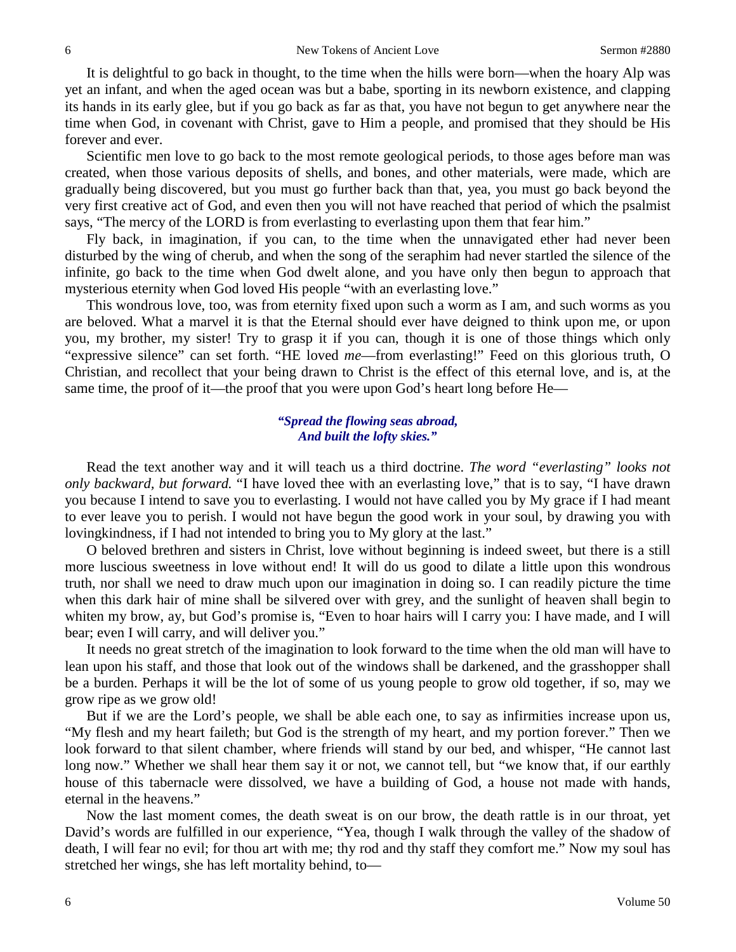It is delightful to go back in thought, to the time when the hills were born—when the hoary Alp was yet an infant, and when the aged ocean was but a babe, sporting in its newborn existence, and clapping its hands in its early glee, but if you go back as far as that, you have not begun to get anywhere near the time when God, in covenant with Christ, gave to Him a people, and promised that they should be His forever and ever.

Scientific men love to go back to the most remote geological periods, to those ages before man was created, when those various deposits of shells, and bones, and other materials, were made, which are gradually being discovered, but you must go further back than that, yea, you must go back beyond the very first creative act of God, and even then you will not have reached that period of which the psalmist says, "The mercy of the LORD is from everlasting to everlasting upon them that fear him."

Fly back, in imagination, if you can, to the time when the unnavigated ether had never been disturbed by the wing of cherub, and when the song of the seraphim had never startled the silence of the infinite, go back to the time when God dwelt alone, and you have only then begun to approach that mysterious eternity when God loved His people "with an everlasting love."

This wondrous love, too, was from eternity fixed upon such a worm as I am, and such worms as you are beloved. What a marvel it is that the Eternal should ever have deigned to think upon me, or upon you, my brother, my sister! Try to grasp it if you can, though it is one of those things which only "expressive silence" can set forth. "HE loved *me*—from everlasting!" Feed on this glorious truth, O Christian, and recollect that your being drawn to Christ is the effect of this eternal love, and is, at the same time, the proof of it—the proof that you were upon God's heart long before He—

#### *"Spread the flowing seas abroad, And built the lofty skies."*

Read the text another way and it will teach us a third doctrine. *The word "everlasting" looks not only backward, but forward.* "I have loved thee with an everlasting love," that is to say, "I have drawn you because I intend to save you to everlasting. I would not have called you by My grace if I had meant to ever leave you to perish. I would not have begun the good work in your soul, by drawing you with lovingkindness, if I had not intended to bring you to My glory at the last."

O beloved brethren and sisters in Christ, love without beginning is indeed sweet, but there is a still more luscious sweetness in love without end! It will do us good to dilate a little upon this wondrous truth, nor shall we need to draw much upon our imagination in doing so. I can readily picture the time when this dark hair of mine shall be silvered over with grey, and the sunlight of heaven shall begin to whiten my brow, ay, but God's promise is, "Even to hoar hairs will I carry you: I have made, and I will bear; even I will carry, and will deliver you."

It needs no great stretch of the imagination to look forward to the time when the old man will have to lean upon his staff, and those that look out of the windows shall be darkened, and the grasshopper shall be a burden. Perhaps it will be the lot of some of us young people to grow old together, if so, may we grow ripe as we grow old!

But if we are the Lord's people, we shall be able each one, to say as infirmities increase upon us, "My flesh and my heart faileth; but God is the strength of my heart, and my portion forever." Then we look forward to that silent chamber, where friends will stand by our bed, and whisper, "He cannot last long now." Whether we shall hear them say it or not, we cannot tell, but "we know that, if our earthly house of this tabernacle were dissolved, we have a building of God, a house not made with hands, eternal in the heavens."

Now the last moment comes, the death sweat is on our brow, the death rattle is in our throat, yet David's words are fulfilled in our experience, "Yea, though I walk through the valley of the shadow of death, I will fear no evil; for thou art with me; thy rod and thy staff they comfort me." Now my soul has stretched her wings, she has left mortality behind, to—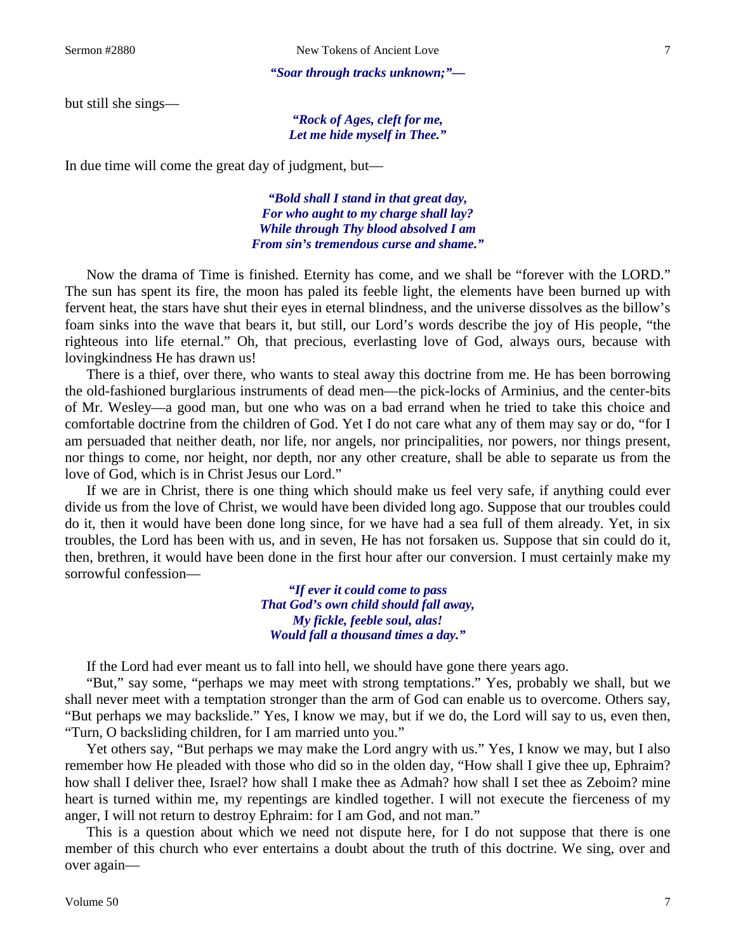#### *"Soar through tracks unknown;"—*

but still she sings—

*"Rock of Ages, cleft for me, Let me hide myself in Thee."*

In due time will come the great day of judgment, but—

*"Bold shall I stand in that great day, For who aught to my charge shall lay? While through Thy blood absolved I am From sin's tremendous curse and shame."*

Now the drama of Time is finished. Eternity has come, and we shall be "forever with the LORD." The sun has spent its fire, the moon has paled its feeble light, the elements have been burned up with fervent heat, the stars have shut their eyes in eternal blindness, and the universe dissolves as the billow's foam sinks into the wave that bears it, but still, our Lord's words describe the joy of His people, "the righteous into life eternal." Oh, that precious, everlasting love of God, always ours, because with lovingkindness He has drawn us!

There is a thief, over there, who wants to steal away this doctrine from me. He has been borrowing the old-fashioned burglarious instruments of dead men—the pick-locks of Arminius, and the center-bits of Mr. Wesley—a good man, but one who was on a bad errand when he tried to take this choice and comfortable doctrine from the children of God. Yet I do not care what any of them may say or do, "for I am persuaded that neither death, nor life, nor angels, nor principalities, nor powers, nor things present, nor things to come, nor height, nor depth, nor any other creature, shall be able to separate us from the love of God, which is in Christ Jesus our Lord."

If we are in Christ, there is one thing which should make us feel very safe, if anything could ever divide us from the love of Christ, we would have been divided long ago. Suppose that our troubles could do it, then it would have been done long since, for we have had a sea full of them already. Yet, in six troubles, the Lord has been with us, and in seven, He has not forsaken us. Suppose that sin could do it, then, brethren, it would have been done in the first hour after our conversion. I must certainly make my sorrowful confession—

> *"If ever it could come to pass That God's own child should fall away, My fickle, feeble soul, alas! Would fall a thousand times a day."*

If the Lord had ever meant us to fall into hell, we should have gone there years ago.

"But," say some, "perhaps we may meet with strong temptations." Yes, probably we shall, but we shall never meet with a temptation stronger than the arm of God can enable us to overcome. Others say, "But perhaps we may backslide." Yes, I know we may, but if we do, the Lord will say to us, even then, "Turn, O backsliding children, for I am married unto you."

Yet others say, "But perhaps we may make the Lord angry with us." Yes, I know we may, but I also remember how He pleaded with those who did so in the olden day, "How shall I give thee up, Ephraim? how shall I deliver thee, Israel? how shall I make thee as Admah? how shall I set thee as Zeboim? mine heart is turned within me, my repentings are kindled together. I will not execute the fierceness of my anger, I will not return to destroy Ephraim: for I am God, and not man."

This is a question about which we need not dispute here, for I do not suppose that there is one member of this church who ever entertains a doubt about the truth of this doctrine. We sing, over and over again—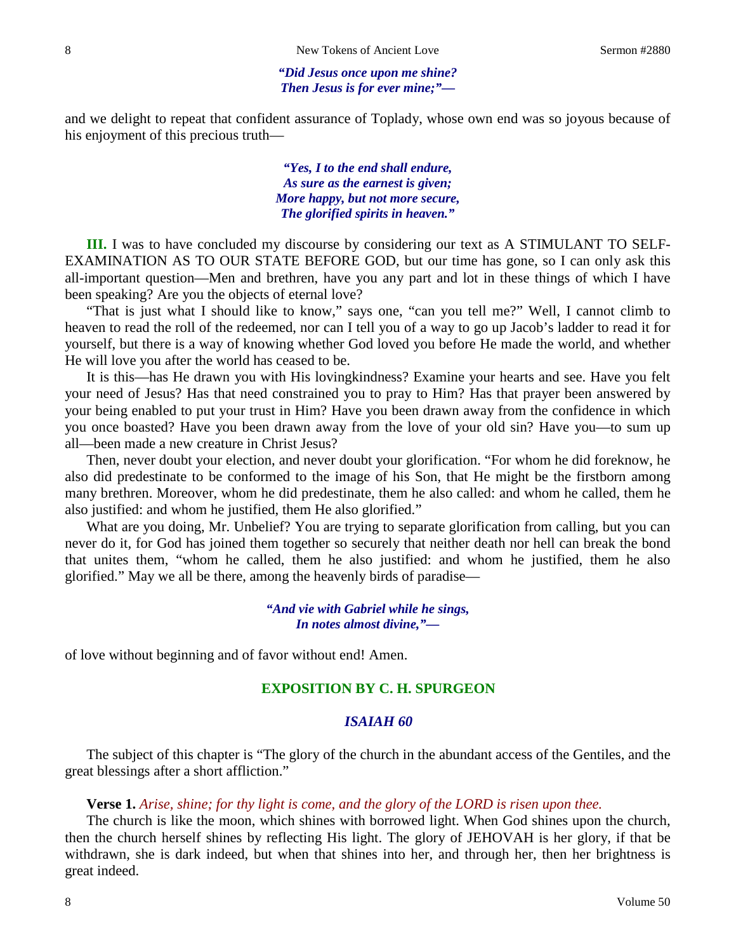#### *"Did Jesus once upon me shine? Then Jesus is for ever mine;"—*

and we delight to repeat that confident assurance of Toplady, whose own end was so joyous because of his enjoyment of this precious truth—

> *"Yes, I to the end shall endure, As sure as the earnest is given; More happy, but not more secure, The glorified spirits in heaven."*

**III.** I was to have concluded my discourse by considering our text as A STIMULANT TO SELF-EXAMINATION AS TO OUR STATE BEFORE GOD, but our time has gone, so I can only ask this all-important question—Men and brethren, have you any part and lot in these things of which I have been speaking? Are you the objects of eternal love?

"That is just what I should like to know," says one, "can you tell me?" Well, I cannot climb to heaven to read the roll of the redeemed, nor can I tell you of a way to go up Jacob's ladder to read it for yourself, but there is a way of knowing whether God loved you before He made the world, and whether He will love you after the world has ceased to be.

It is this—has He drawn you with His lovingkindness? Examine your hearts and see. Have you felt your need of Jesus? Has that need constrained you to pray to Him? Has that prayer been answered by your being enabled to put your trust in Him? Have you been drawn away from the confidence in which you once boasted? Have you been drawn away from the love of your old sin? Have you—to sum up all—been made a new creature in Christ Jesus?

Then, never doubt your election, and never doubt your glorification. "For whom he did foreknow, he also did predestinate to be conformed to the image of his Son, that He might be the firstborn among many brethren. Moreover, whom he did predestinate, them he also called: and whom he called, them he also justified: and whom he justified, them He also glorified."

What are you doing, Mr. Unbelief? You are trying to separate glorification from calling, but you can never do it, for God has joined them together so securely that neither death nor hell can break the bond that unites them, "whom he called, them he also justified: and whom he justified, them he also glorified." May we all be there, among the heavenly birds of paradise—

### *"And vie with Gabriel while he sings, In notes almost divine,"—*

of love without beginning and of favor without end! Amen.

### **EXPOSITION BY C. H. SPURGEON**

#### *ISAIAH 60*

The subject of this chapter is "The glory of the church in the abundant access of the Gentiles, and the great blessings after a short affliction."

#### **Verse 1.** *Arise, shine; for thy light is come, and the glory of the LORD is risen upon thee.*

The church is like the moon, which shines with borrowed light. When God shines upon the church, then the church herself shines by reflecting His light. The glory of JEHOVAH is her glory, if that be withdrawn, she is dark indeed, but when that shines into her, and through her, then her brightness is great indeed.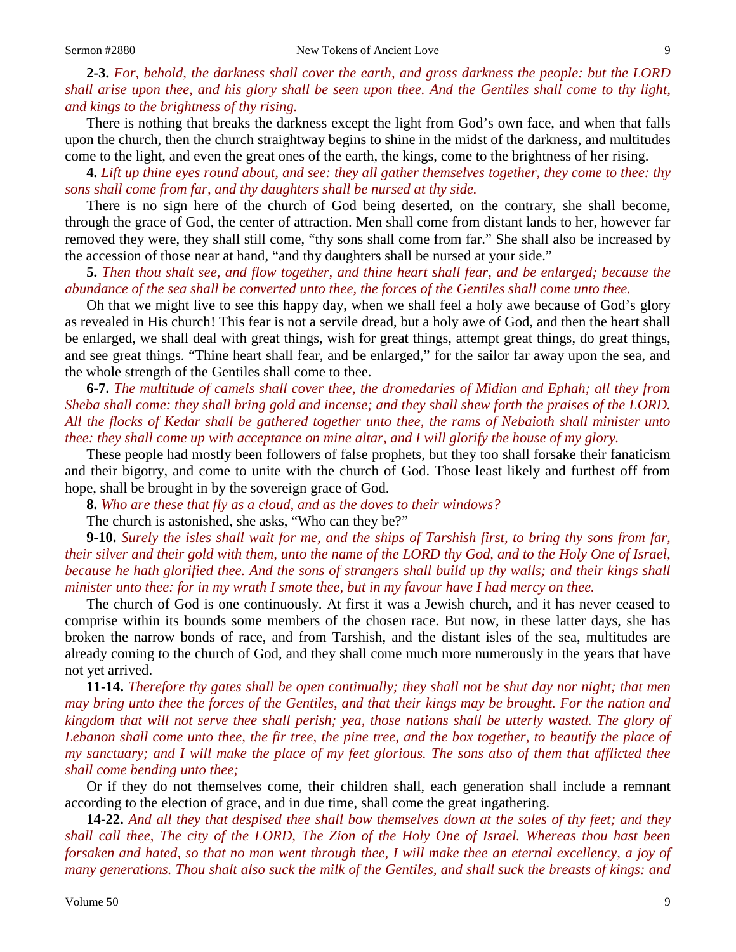**2-3.** *For, behold, the darkness shall cover the earth, and gross darkness the people: but the LORD shall arise upon thee, and his glory shall be seen upon thee. And the Gentiles shall come to thy light, and kings to the brightness of thy rising.*

There is nothing that breaks the darkness except the light from God's own face, and when that falls upon the church, then the church straightway begins to shine in the midst of the darkness, and multitudes come to the light, and even the great ones of the earth, the kings, come to the brightness of her rising.

**4.** *Lift up thine eyes round about, and see: they all gather themselves together, they come to thee: thy sons shall come from far, and thy daughters shall be nursed at thy side.*

There is no sign here of the church of God being deserted, on the contrary, she shall become, through the grace of God, the center of attraction. Men shall come from distant lands to her, however far removed they were, they shall still come, "thy sons shall come from far." She shall also be increased by the accession of those near at hand, "and thy daughters shall be nursed at your side."

**5.** *Then thou shalt see, and flow together, and thine heart shall fear, and be enlarged; because the abundance of the sea shall be converted unto thee, the forces of the Gentiles shall come unto thee.*

Oh that we might live to see this happy day, when we shall feel a holy awe because of God's glory as revealed in His church! This fear is not a servile dread, but a holy awe of God, and then the heart shall be enlarged, we shall deal with great things, wish for great things, attempt great things, do great things, and see great things. "Thine heart shall fear, and be enlarged," for the sailor far away upon the sea, and the whole strength of the Gentiles shall come to thee.

**6-7.** *The multitude of camels shall cover thee, the dromedaries of Midian and Ephah; all they from Sheba shall come: they shall bring gold and incense; and they shall shew forth the praises of the LORD. All the flocks of Kedar shall be gathered together unto thee, the rams of Nebaioth shall minister unto thee: they shall come up with acceptance on mine altar, and I will glorify the house of my glory.*

These people had mostly been followers of false prophets, but they too shall forsake their fanaticism and their bigotry, and come to unite with the church of God. Those least likely and furthest off from hope, shall be brought in by the sovereign grace of God.

**8.** *Who are these that fly as a cloud, and as the doves to their windows?*

The church is astonished, she asks, "Who can they be?"

**9-10.** *Surely the isles shall wait for me, and the ships of Tarshish first, to bring thy sons from far, their silver and their gold with them, unto the name of the LORD thy God, and to the Holy One of Israel, because he hath glorified thee. And the sons of strangers shall build up thy walls; and their kings shall minister unto thee: for in my wrath I smote thee, but in my favour have I had mercy on thee.*

The church of God is one continuously. At first it was a Jewish church, and it has never ceased to comprise within its bounds some members of the chosen race. But now, in these latter days, she has broken the narrow bonds of race, and from Tarshish, and the distant isles of the sea, multitudes are already coming to the church of God, and they shall come much more numerously in the years that have not yet arrived.

**11-14.** *Therefore thy gates shall be open continually; they shall not be shut day nor night; that men may bring unto thee the forces of the Gentiles, and that their kings may be brought. For the nation and kingdom that will not serve thee shall perish; yea, those nations shall be utterly wasted. The glory of Lebanon shall come unto thee, the fir tree, the pine tree, and the box together, to beautify the place of my sanctuary; and I will make the place of my feet glorious. The sons also of them that afflicted thee shall come bending unto thee;*

Or if they do not themselves come, their children shall, each generation shall include a remnant according to the election of grace, and in due time, shall come the great ingathering.

**14-22.** *And all they that despised thee shall bow themselves down at the soles of thy feet; and they shall call thee, The city of the LORD, The Zion of the Holy One of Israel. Whereas thou hast been forsaken and hated, so that no man went through thee, I will make thee an eternal excellency, a joy of many generations. Thou shalt also suck the milk of the Gentiles, and shall suck the breasts of kings: and*